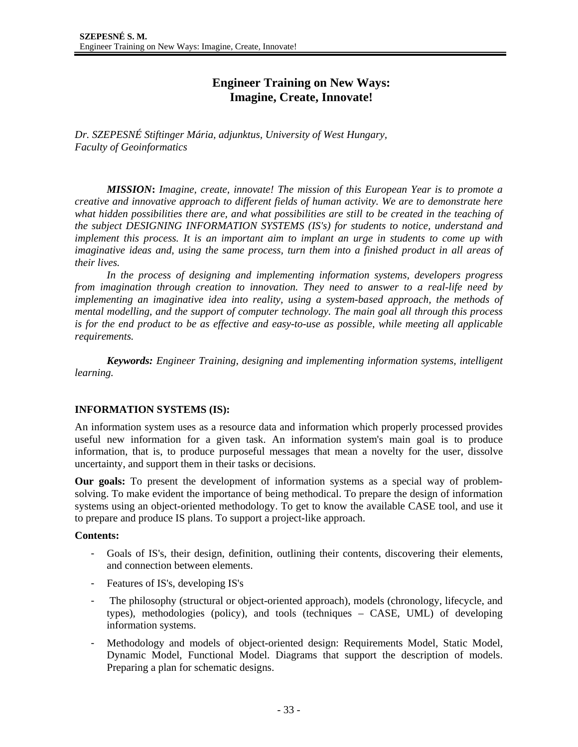# **Engineer Training on New Ways: Imagine, Create, Innovate!**

*Dr. SZEPESNÉ Stiftinger Mária, adjunktus, University of West Hungary, Faculty of Geoinformatics* 

*MISSION***:** *Imagine, create, innovate! The mission of this European Year is to promote a creative and innovative approach to different fields of human activity. We are to demonstrate here what hidden possibilities there are, and what possibilities are still to be created in the teaching of the subject DESIGNING INFORMATION SYSTEMS (IS's) for students to notice, understand and implement this process. It is an important aim to implant an urge in students to come up with imaginative ideas and, using the same process, turn them into a finished product in all areas of their lives.* 

*In the process of designing and implementing information systems, developers progress from imagination through creation to innovation. They need to answer to a real-life need by implementing an imaginative idea into reality, using a system-based approach, the methods of mental modelling, and the support of computer technology. The main goal all through this process is for the end product to be as effective and easy-to-use as possible, while meeting all applicable requirements.* 

*Keywords: Engineer Training, designing and implementing information systems, intelligent learning.* 

# **INFORMATION SYSTEMS (IS):**

An information system uses as a resource data and information which properly processed provides useful new information for a given task. An information system's main goal is to produce information, that is, to produce purposeful messages that mean a novelty for the user, dissolve uncertainty, and support them in their tasks or decisions.

**Our goals:** To present the development of information systems as a special way of problemsolving. To make evident the importance of being methodical. To prepare the design of information systems using an object-oriented methodology. To get to know the available CASE tool, and use it to prepare and produce IS plans. To support a project-like approach.

# **Contents:**

- Goals of IS's, their design, definition, outlining their contents, discovering their elements, and connection between elements.
- Features of IS's, developing IS's
- The philosophy (structural or object-oriented approach), models (chronology, lifecycle, and types), methodologies (policy), and tools (techniques – CASE, UML) of developing information systems.
- Methodology and models of object-oriented design: Requirements Model, Static Model, Dynamic Model, Functional Model. Diagrams that support the description of models. Preparing a plan for schematic designs.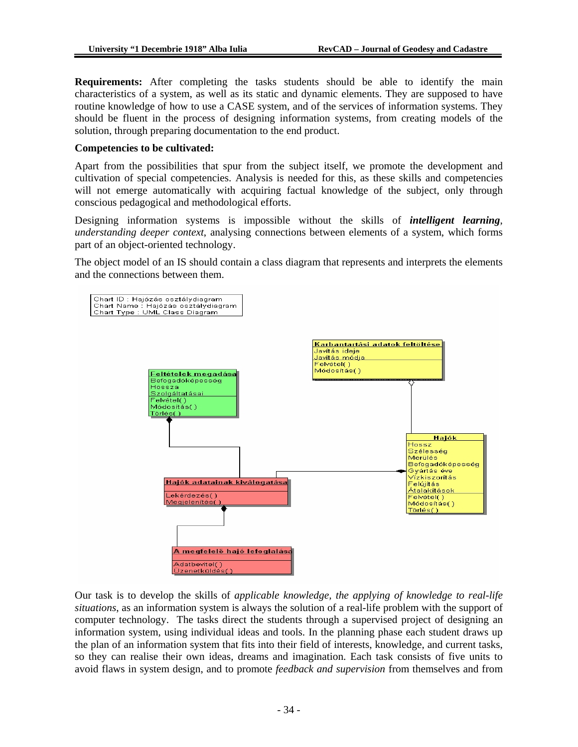**Requirements:** After completing the tasks students should be able to identify the main characteristics of a system, as well as its static and dynamic elements. They are supposed to have routine knowledge of how to use a CASE system, and of the services of information systems. They should be fluent in the process of designing information systems, from creating models of the solution, through preparing documentation to the end product.

## **Competencies to be cultivated:**

Apart from the possibilities that spur from the subject itself, we promote the development and cultivation of special competencies. Analysis is needed for this, as these skills and competencies will not emerge automatically with acquiring factual knowledge of the subject, only through conscious pedagogical and methodological efforts.

Designing information systems is impossible without the skills of *intelligent learning*, *understanding deeper context*, analysing connections between elements of a system, which forms part of an object-oriented technology.

The object model of an IS should contain a class diagram that represents and interprets the elements and the connections between them.



Our task is to develop the skills of *applicable knowledge, the applying of knowledge to real-life situations*, as an information system is always the solution of a real-life problem with the support of computer technology. The tasks direct the students through a supervised project of designing an information system, using individual ideas and tools. In the planning phase each student draws up the plan of an information system that fits into their field of interests, knowledge, and current tasks, so they can realise their own ideas, dreams and imagination. Each task consists of five units to avoid flaws in system design, and to promote *feedback and supervision* from themselves and from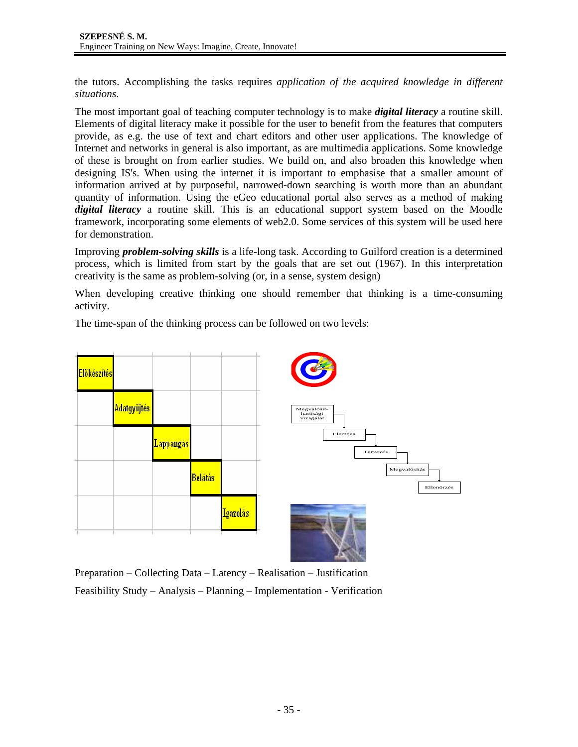the tutors. Accomplishing the tasks requires *application of the acquired knowledge in different situations*.

The most important goal of teaching computer technology is to make *digital literacy* a routine skill. Elements of digital literacy make it possible for the user to benefit from the features that computers provide, as e.g. the use of text and chart editors and other user applications. The knowledge of Internet and networks in general is also important, as are multimedia applications. Some knowledge of these is brought on from earlier studies. We build on, and also broaden this knowledge when designing IS's. When using the internet it is important to emphasise that a smaller amount of information arrived at by purposeful, narrowed-down searching is worth more than an abundant quantity of information. Using the eGeo educational portal also serves as a method of making *digital literacy* a routine skill. This is an educational support system based on the Moodle framework, incorporating some elements of web2.0. Some services of this system will be used here for demonstration.

Improving *problem-solving skills* is a life-long task. According to Guilford creation is a determined process, which is limited from start by the goals that are set out (1967). In this interpretation creativity is the same as problem-solving (or, in a sense, system design)

When developing creative thinking one should remember that thinking is a time-consuming activity.

The time-span of the thinking process can be followed on two levels:



Preparation – Collecting Data – Latency – Realisation – Justification Feasibility Study – Analysis – Planning – Implementation - Verification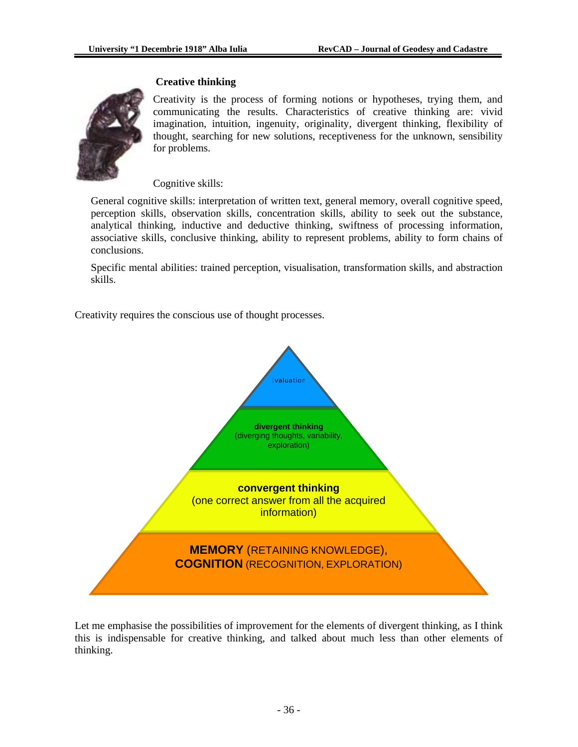

## **Creative thinking**

Creativity is the process of forming notions or hypotheses, trying them, and communicating the results. Characteristics of creative thinking are: vivid imagination, intuition, ingenuity, originality, divergent thinking, flexibility of thought, searching for new solutions, receptiveness for the unknown, sensibility for problems.

## Cognitive skills:

General cognitive skills: interpretation of written text, general memory, overall cognitive speed, perception skills, observation skills, concentration skills, ability to seek out the substance, analytical thinking, inductive and deductive thinking, swiftness of processing information, associative skills, conclusive thinking, ability to represent problems, ability to form chains of conclusions.

Specific mental abilities: trained perception, visualisation, transformation skills, and abstraction skills.

Creativity requires the conscious use of thought processes.



Let me emphasise the possibilities of improvement for the elements of divergent thinking, as I think this is indispensable for creative thinking, and talked about much less than other elements of thinking.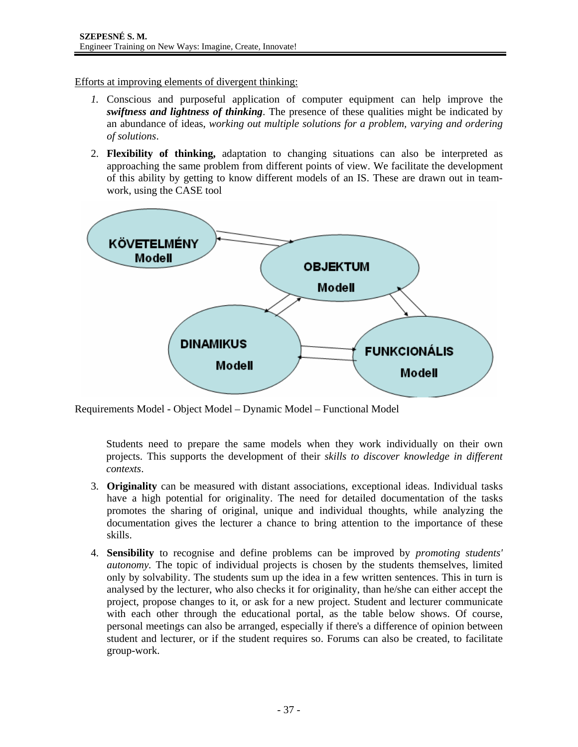Efforts at improving elements of divergent thinking:

- *1.* Conscious and purposeful application of computer equipment can help improve the *swiftness and lightness of thinking*. The presence of these qualities might be indicated by an abundance of ideas, *working out multiple solutions for a problem, varying and ordering of solutions*.
- 2. **Flexibility of thinking,** adaptation to changing situations can also be interpreted as approaching the same problem from different points of view. We facilitate the development of this ability by getting to know different models of an IS. These are drawn out in teamwork, using the CASE tool



Requirements Model - Object Model – Dynamic Model – Functional Model

Students need to prepare the same models when they work individually on their own projects. This supports the development of their *skills to discover knowledge in different contexts*.

- 3. **Originality** can be measured with distant associations, exceptional ideas. Individual tasks have a high potential for originality. The need for detailed documentation of the tasks promotes the sharing of original, unique and individual thoughts, while analyzing the documentation gives the lecturer a chance to bring attention to the importance of these skills.
- 4. **Sensibility** to recognise and define problems can be improved by *promoting students' autonomy.* The topic of individual projects is chosen by the students themselves, limited only by solvability. The students sum up the idea in a few written sentences. This in turn is analysed by the lecturer, who also checks it for originality, than he/she can either accept the project, propose changes to it, or ask for a new project. Student and lecturer communicate with each other through the educational portal, as the table below shows. Of course, personal meetings can also be arranged, especially if there's a difference of opinion between student and lecturer, or if the student requires so. Forums can also be created, to facilitate group-work.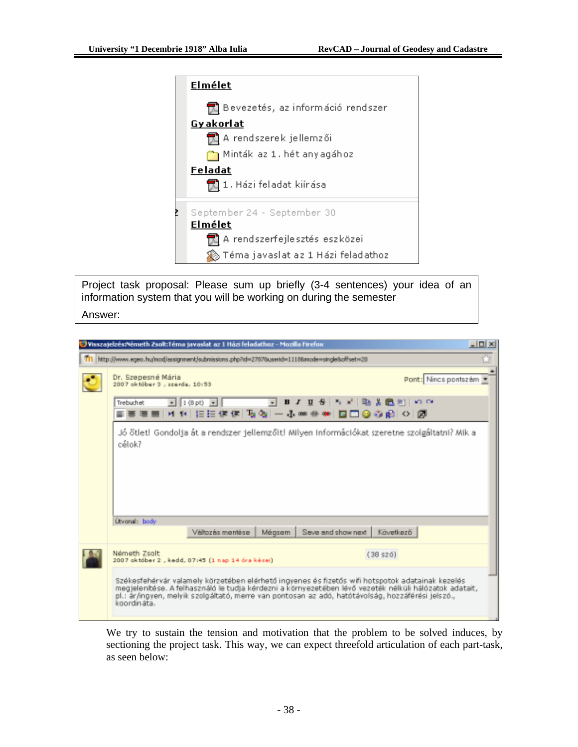

Project task proposal: Please sum up briefly (3-4 sentences) your idea of an information system that you will be working on during the semester Answer:

| Visszatelzés:Németh Zsolt:Téma tavaslat az 1 Házi feladathoz - Mozilla Firefox              |                                                                                                                                                                                                                                                                                                                 | $-10X$ |
|---------------------------------------------------------------------------------------------|-----------------------------------------------------------------------------------------------------------------------------------------------------------------------------------------------------------------------------------------------------------------------------------------------------------------|--------|
| http://www.egeo.hu/mod/assignment/submissions.php?id=27676userid=11166mode=single8offset=20 |                                                                                                                                                                                                                                                                                                                 |        |
| Dr. Szepesné Mária<br>2007 október 3., szerda, 10:53                                        | Pont: Nincs pontszám                                                                                                                                                                                                                                                                                            |        |
| $-1(8pt) -$<br>Trebuchet<br>H H 旧田伊佳 [ 2022   一 20 88                                       | うぜ 吸入的<br><b>KD CA</b><br><b>U</b><br>в<br>□◎◎雨 ○ 図                                                                                                                                                                                                                                                             |        |
| célok?                                                                                      | Jó ötlet! Gondolja át a rendszer jellemzőit! Milyen információkat szeretne szolgáltatni? Mik a                                                                                                                                                                                                                  |        |
| <b>Útvonal:</b> body                                                                        |                                                                                                                                                                                                                                                                                                                 |        |
| Változás mentése<br>Mégsem                                                                  | Save and show next<br>Következő                                                                                                                                                                                                                                                                                 |        |
| Németh Zsolt<br>2007 október 2., kedd, 07:45 (1 nap 14 óra kézei)                           | (38 s20)                                                                                                                                                                                                                                                                                                        |        |
| koordināta.                                                                                 | Székesfehérvár valamely körzetében elérhető ingyenes és fizetős wifi hotspotok adatainak kezelés<br>megjelenítése. A felhasználó le tudja kérdezni a környezetében lévő vezeték nélküli hálózatok adatait,<br>pl.: ár/ingyen, melyik szolgáltató, merre van pontosan az adó, hatótávolság, hozzáférési jelszó., |        |

We try to sustain the tension and motivation that the problem to be solved induces, by sectioning the project task. This way, we can expect threefold articulation of each part-task, as seen below: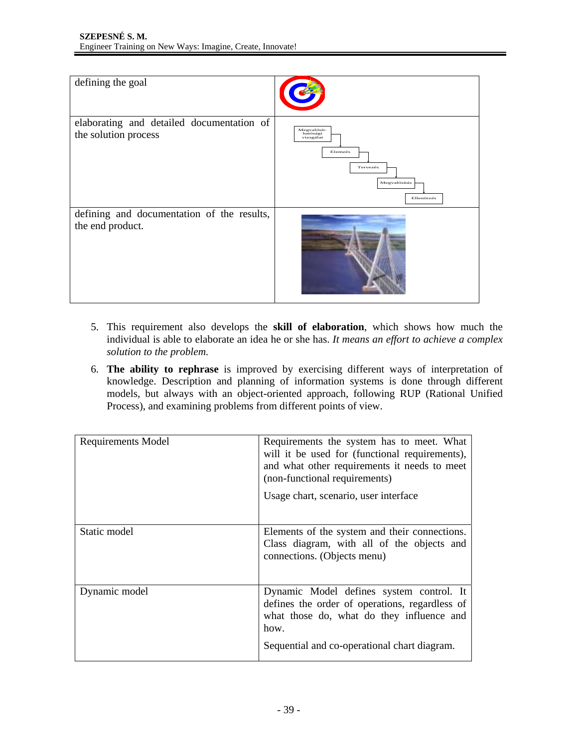

- 5. This requirement also develops the **skill of elaboration**, which shows how much the individual is able to elaborate an idea he or she has. *It means an effort to achieve a complex solution to the problem.*
- 6. **The ability to rephrase** is improved by exercising different ways of interpretation of knowledge. Description and planning of information systems is done through different models, but always with an object-oriented approach, following RUP (Rational Unified Process), and examining problems from different points of view.

| <b>Requirements Model</b> | Requirements the system has to meet. What<br>will it be used for (functional requirements),<br>and what other requirements it needs to meet<br>(non-functional requirements)<br>Usage chart, scenario, user interface |
|---------------------------|-----------------------------------------------------------------------------------------------------------------------------------------------------------------------------------------------------------------------|
| Static model              | Elements of the system and their connections.<br>Class diagram, with all of the objects and<br>connections. (Objects menu)                                                                                            |
| Dynamic model             | Dynamic Model defines system control. It<br>defines the order of operations, regardless of<br>what those do, what do they influence and<br>how.<br>Sequential and co-operational chart diagram.                       |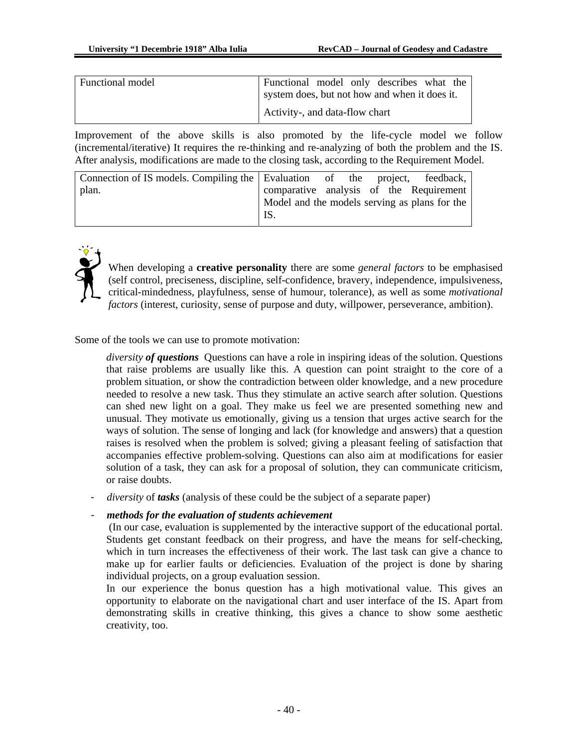| Functional model | Functional model only describes what the      |  |  |  |  |  |
|------------------|-----------------------------------------------|--|--|--|--|--|
|                  | system does, but not how and when it does it. |  |  |  |  |  |
|                  | Activity-, and data-flow chart                |  |  |  |  |  |

Improvement of the above skills is also promoted by the life-cycle model we follow (incremental/iterative) It requires the re-thinking and re-analyzing of both the problem and the IS. After analysis, modifications are made to the closing task, according to the Requirement Model.

| Model and the models serving as plans for the |  |  |  |                                                                                                                        |
|-----------------------------------------------|--|--|--|------------------------------------------------------------------------------------------------------------------------|
| IS.                                           |  |  |  |                                                                                                                        |
|                                               |  |  |  | Connection of IS models. Compiling the Evaluation of the project, feedback,<br>comparative analysis of the Requirement |



When developing a **creative personality** there are some *general factors* to be emphasised (self control, preciseness, discipline, self-confidence, bravery, independence, impulsiveness, critical-mindedness, playfulness, sense of humour, tolerance), as well as some *motivational factors* (interest, curiosity, sense of purpose and duty, willpower, perseverance, ambition).

Some of the tools we can use to promote motivation:

*diversity of questions* Questions can have a role in inspiring ideas of the solution. Questions that raise problems are usually like this. A question can point straight to the core of a problem situation, or show the contradiction between older knowledge, and a new procedure needed to resolve a new task. Thus they stimulate an active search after solution. Questions can shed new light on a goal. They make us feel we are presented something new and unusual. They motivate us emotionally, giving us a tension that urges active search for the ways of solution. The sense of longing and lack (for knowledge and answers) that a question raises is resolved when the problem is solved; giving a pleasant feeling of satisfaction that accompanies effective problem-solving. Questions can also aim at modifications for easier solution of a task, they can ask for a proposal of solution, they can communicate criticism, or raise doubts.

- *diversity* of *tasks* (analysis of these could be the subject of a separate paper)

#### - *methods for the evaluation of students achievement*

 (In our case, evaluation is supplemented by the interactive support of the educational portal. Students get constant feedback on their progress, and have the means for self-checking, which in turn increases the effectiveness of their work. The last task can give a chance to make up for earlier faults or deficiencies. Evaluation of the project is done by sharing individual projects, on a group evaluation session.

In our experience the bonus question has a high motivational value. This gives an opportunity to elaborate on the navigational chart and user interface of the IS. Apart from demonstrating skills in creative thinking, this gives a chance to show some aesthetic creativity, too.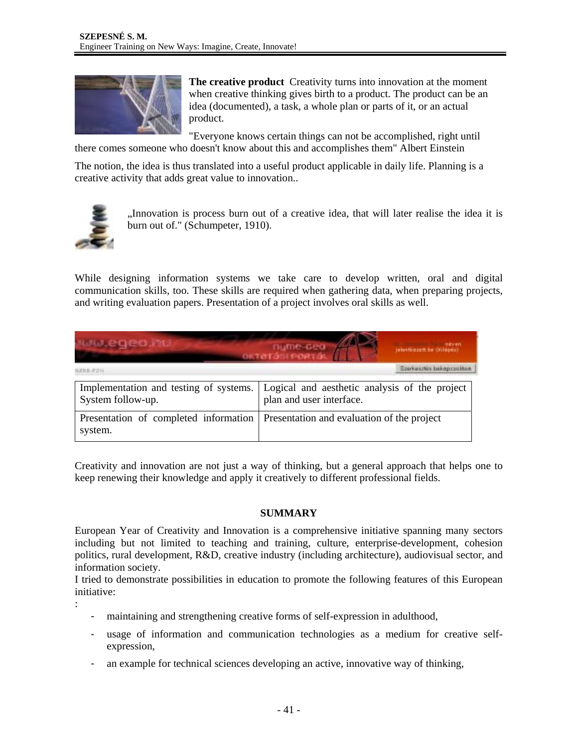

**The creative product** Creativity turns into innovation at the moment when creative thinking gives birth to a product. The product can be an idea (documented), a task, a whole plan or parts of it, or an actual product.

"Everyone knows certain things can not be accomplished, right until there comes someone who doesn't know about this and accomplishes them" Albert Einstein

The notion, the idea is thus translated into a useful product applicable in daily life. Planning is a creative activity that adds great value to innovation..



:

"Innovation is process burn out of a creative idea, that will later realise the idea it is burn out of." (Schumpeter, 1910).

While designing information systems we take care to develop written, oral and digital communication skills, too. These skills are required when gathering data, when preparing projects, and writing evaluation papers. Presentation of a project involves oral skills as well.

| www.eqeo.hu                                                 | ngme-deb<br>jelentionsett be (Kilépéz)<br>октатавтровта (                 |  |  |  |  |
|-------------------------------------------------------------|---------------------------------------------------------------------------|--|--|--|--|
| 5288-825                                                    | Spirkwazkio bekapcsokka                                                   |  |  |  |  |
| Implementation and testing of systems.<br>System follow-up. | Logical and aesthetic analysis of the project<br>plan and user interface. |  |  |  |  |
| Presentation of completed information<br>system.            | Presentation and evaluation of the project                                |  |  |  |  |

Creativity and innovation are not just a way of thinking, but a general approach that helps one to keep renewing their knowledge and apply it creatively to different professional fields.

# **SUMMARY**

European Year of Creativity and Innovation is a comprehensive initiative spanning many sectors including but not limited to teaching and training, culture, enterprise-development, cohesion politics, rural development, R&D, creative industry (including architecture), audiovisual sector, and information society.

I tried to demonstrate possibilities in education to promote the following features of this European initiative:

- maintaining and strengthening creative forms of self-expression in adulthood,
- usage of information and communication technologies as a medium for creative selfexpression,
- an example for technical sciences developing an active, innovative way of thinking,